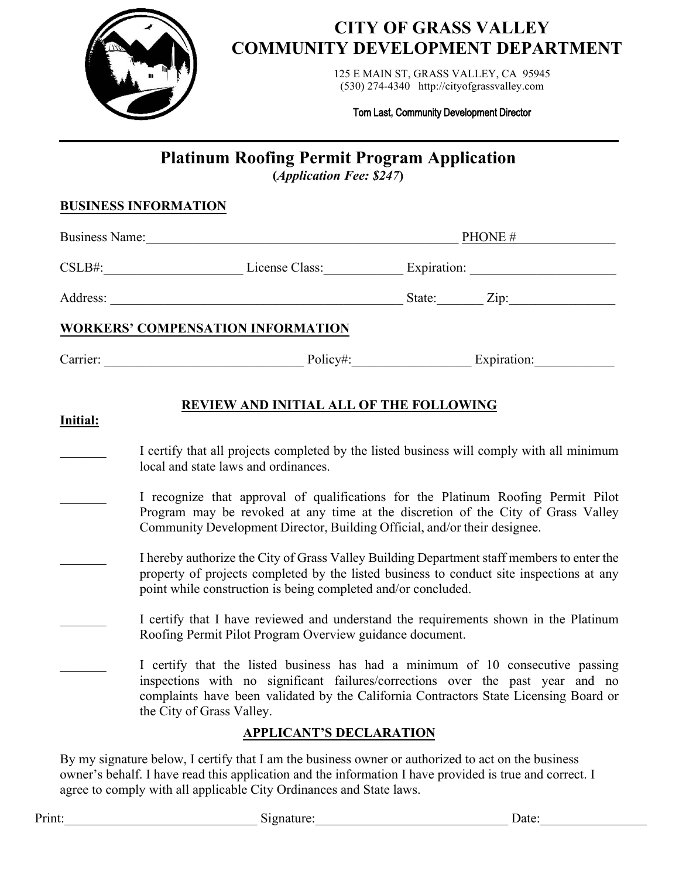

## **CITY OF GRASS VALLEY COMMUNITY DEVELOPMENT DEPARTMENT**

125 E MAIN ST, GRASS VALLEY, CA 95945 (530) 274-4340 http://cityofgrassvalley.com

Tom Last**,** Community Development Director

# **Platinum Roofing Permit Program Application**

**(***Application Fee: \$247***)** 

### **BUSINESS INFORMATION**

| <b>Business Name:</b> |                                          | PHONE#         |
|-----------------------|------------------------------------------|----------------|
| CSLB#:                | License Class:                           | Expiration:    |
| Address:              |                                          | Zip:<br>State: |
|                       | <b>WORKERS' COMPENSATION INFORMATION</b> |                |
| Carrier:              | Policy#:                                 | Expiration:    |

#### **REVIEW AND INITIAL ALL OF THE FOLLOWING**

#### **Initial:**

- I certify that all projects completed by the listed business will comply with all minimum local and state laws and ordinances.
- $\frac{1}{2}$ I recognize that approval of qualifications for the Platinum Roofing Permit Pilot Program may be revoked at any time at the discretion of the City of Grass Valley Community Development Director, Building Official, and/or their designee.
- $\frac{1}{2}$ I hereby authorize the City of Grass Valley Building Department staff members to enter the property of projects completed by the listed business to conduct site inspections at any point while construction is being completed and/or concluded.
- $\frac{1}{2}$ I certify that I have reviewed and understand the requirements shown in the Platinum Roofing Permit Pilot Program Overview guidance document.
- $\mathcal{L}=\mathcal{L}$ I certify that the listed business has had a minimum of 10 consecutive passing inspections with no significant failures/corrections over the past year and no complaints have been validated by the California Contractors State Licensing Board or the City of Grass Valley.

#### **APPLICANT'S DECLARATION**

By my signature below, I certify that I am the business owner or authorized to act on the business owner's behalf. I have read this application and the information I have provided is true and correct. I agree to comply with all applicable City Ordinances and State laws.

Print:\_\_\_\_\_\_\_\_\_\_\_\_\_\_\_\_\_\_\_\_\_\_\_\_\_\_\_\_\_ Signature:\_\_\_\_\_\_\_\_\_\_\_\_\_\_\_\_\_\_\_\_\_\_\_\_\_\_\_\_\_ Date:\_\_\_\_\_\_\_\_\_\_\_\_\_\_\_\_